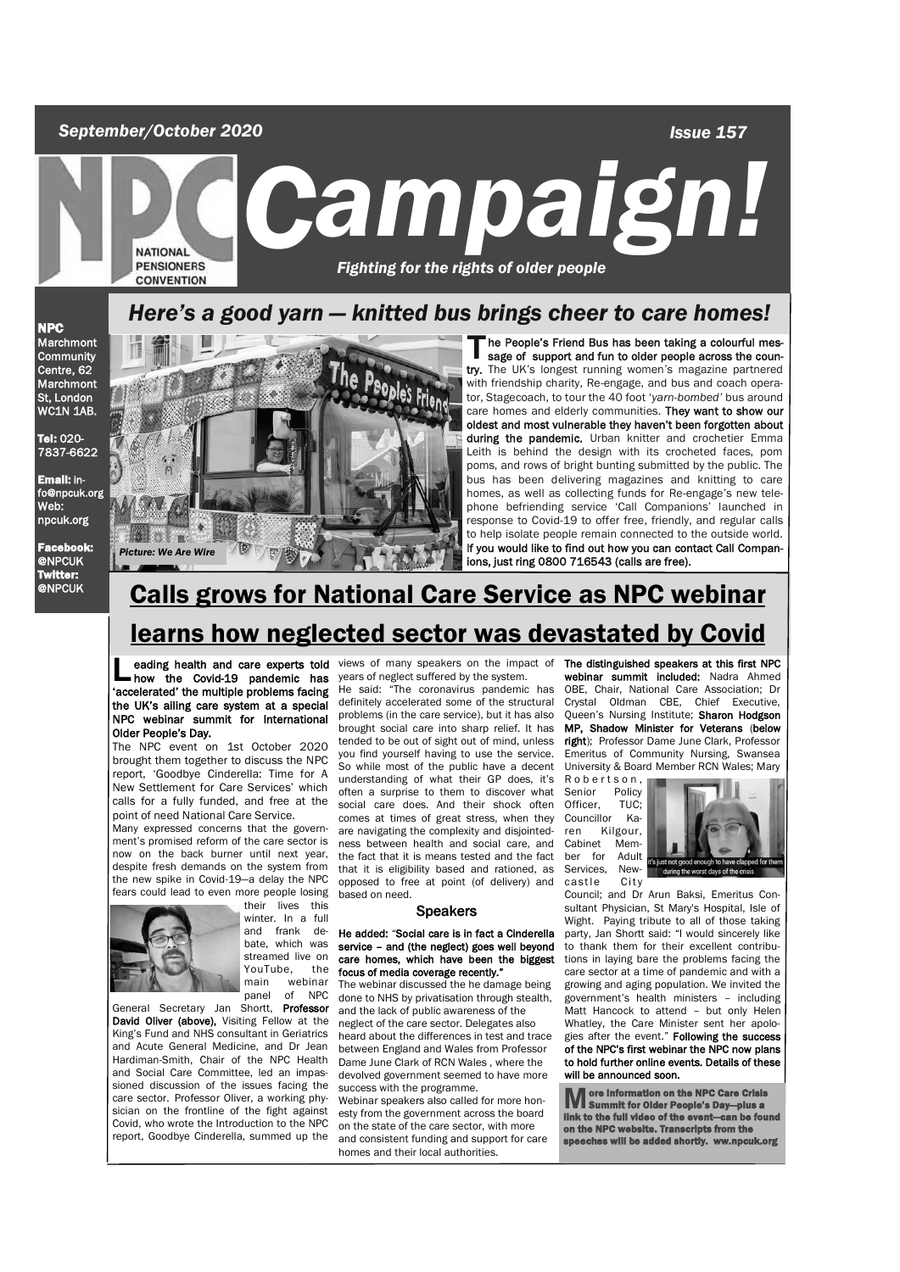*September/October 2020*

 *Issue 157*

*Campaign Campaign!*<br>PENSIONERS Fighting for the rights of older people  *Fighting for the rights of older people* 

## *Here's a good yarn — knitted bus brings cheer to care homes!*

NPC **Marchmont Community** Centre, 62 **Marchmont** St, London WC1N 1AB.

Tel: 020- 7837-6622

Email: info@npcuk.org Web: npcuk.org

Facebook: @NPCUK Twitter:



The People's Friend Bus has been taking a colourful message of support and fun to older people across the country. The UK's longest running women's magazine partnered he People's Friend Bus has been taking a colourful message of support and fun to older people across the counwith friendship charity, Re-engage, and bus and coach operator, Stagecoach, to tour the 40 foot '*yarn-bombed'* bus around care homes and elderly communities. They want to show our oldest and most vulnerable they haven't been forgotten about during the pandemic. Urban knitter and crochetier Emma Leith is behind the design with its crocheted faces, pom poms, and rows of bright bunting submitted by the public. The bus has been delivering magazines and knitting to care homes, as well as collecting funds for Re-engage's new telephone befriending service 'Call Companions' launched in response to Covid-19 to offer free, friendly, and regular calls to help isolate people remain connected to the outside world. If you would like to find out how you can contact Call Companions, just ring 0800 716543 (calls are free).

# **@NPCUK Calls grows for National Care Service as NPC webinar** learns how neglected sector was devastated by Covid

**L** eading health and care experts told<br>how the Covid-19 pandemic has<br>'accelerated' the multiple problems facing how the Covid-19 pandemic has the UK's ailing care system at a special NPC webinar summit for International Older People's Day.

The NPC event on 1st October 2020 brought them together to discuss the NPC report, 'Goodbye Cinderella: Time for A New Settlement for Care Services' which calls for a fully funded, and free at the point of need National Care Service.

Many expressed concerns that the government's promised reform of the care sector is now on the back burner until next year, despite fresh demands on the system from the new spike in Covid-19—a delay the NPC fears could lead to even more people losing



their lives this winter. In a full and frank debate, which was streamed live on<br>YouTube, the YouTube,<br>main w webinar panel of NPC

General Secretary Jan Shortt, Professor David Oliver (above), Visiting Fellow at the King's Fund and NHS consultant in Geriatrics and Acute General Medicine, and Dr Jean Hardiman-Smith, Chair of the NPC Health and Social Care Committee, led an impassioned discussion of the issues facing the care sector. Professor Oliver, a working physician on the frontline of the fight against Covid, who wrote the Introduction to the NPC report, Goodbye Cinderella, summed up the

eading health and care experts told views of many speakers on the impact of years of neglect suffered by the system.

He said: "The coronavirus pandemic has definitely accelerated some of the structural problems (in the care service), but it has also brought social care into sharp relief. It has tended to be out of sight out of mind, unless you find yourself having to use the service. So while most of the public have a decent understanding of what their GP does, it's often a surprise to them to discover what social care does. And their shock often comes at times of great stress, when they are navigating the complexity and disjointedness between health and social care, and the fact that it is means tested and the fact that it is eligibility based and rationed, as opposed to free at point (of delivery) and based on need.

#### Speakers

#### He added: "Social care is in fact a Cinderella service – and (the neglect) goes well beyond care homes, which have been the biggest focus of media coverage recently."

The webinar discussed the he damage being done to NHS by privatisation through stealth, and the lack of public awareness of the neglect of the care sector. Delegates also heard about the differences in test and trace between England and Wales from Professor Dame June Clark of RCN Wales , where the devolved government seemed to have more success with the programme.

Webinar speakers also called for more honesty from the government across the board on the state of the care sector, with more and consistent funding and support for care homes and their local authorities.

The distinguished speakers at this first NPC webinar summit included: Nadra Ahmed OBE, Chair, National Care Association; Dr Crystal Oldman CBE, Chief Executive, Queen's Nursing Institute; Sharon Hodgson MP, Shadow Minister for Veterans (below right); Professor Dame June Clark, Professor Emeritus of Community Nursing, Swansea University & Board Member RCN Wales; Mary

R o b e r t s o n , Senior Policy<br>Officer, TUC; Officer, TUC;<br>Councillor Ka-Councillor ren Kilgour, Cabinet Mem-<br>ber for Adult ber for Services, New-<br>castle City castle



Council; and Dr Arun Baksi, Emeritus Consultant Physician, St Mary's Hospital, Isle of Wight. Paying tribute to all of those taking party, Jan Shortt said: "I would sincerely like to thank them for their excellent contributions in laying bare the problems facing the care sector at a time of pandemic and with a growing and aging population. We invited the government's health ministers – including Matt Hancock to attend – but only Helen Whatley, the Care Minister sent her anologies after the event." Following the success of the NPC's first webinar the NPC now plans to hold further online events. Details of these will be announced soon.

**M** ore information on the NPC Care Crisis<br>link to the full video of the event—can be found<br>on the NPC website. Transcripts from the<br>on the NPC website. Transcripts from the hes will be added shortly. ww.npcuk.org